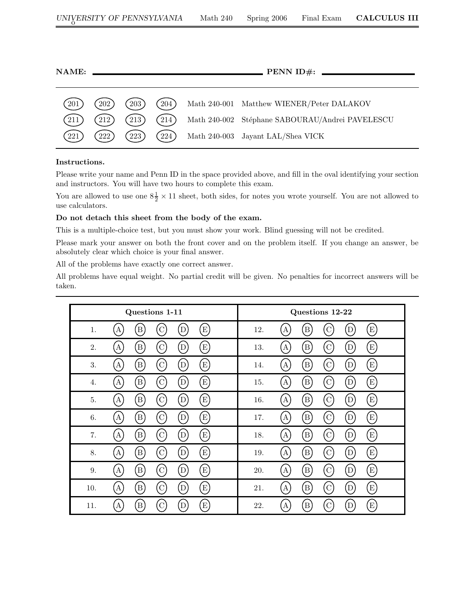| NAME: |                |                    |       |                                                 |
|-------|----------------|--------------------|-------|-------------------------------------------------|
| 201   | $^{\prime}202$ | $\left(203\right)$ | (204) | Math 240-001 Matthew WIENER/Peter DALAKOV       |
| 211   | (212)          | (213)              | (214) | Math 240-002 Stéphane SABOURAU/Andrei PAVELESCU |
| 221   | 222)           | (223)              | (224) | Math 240-003 Jayant LAL/Shea VICK               |

## Instructions.

Please write your name and Penn ID in the space provided above, and fill in the oval identifying your section and instructors. You will have two hours to complete this exam.

You are allowed to use one  $8\frac{1}{2} \times 11$  sheet, both sides, for notes you wrote yourself. You are not allowed to use calculators.

## Do not detach this sheet from the body of the exam.

This is a multiple-choice test, but you must show your work. Blind guessing will not be credited.

Please mark your answer on both the front cover and on the problem itself. If you change an answer, be absolutely clear which choice is your final answer.

All of the problems have exactly one correct answer.

All problems have equal weight. No partial credit will be given. No penalties for incorrect answers will be taken.

|     | Questions 1-11                                                                                      | Questions 12-22                                                                                                                          |
|-----|-----------------------------------------------------------------------------------------------------|------------------------------------------------------------------------------------------------------------------------------------------|
| 1.  | $\overline{C}$<br>$\rm(E)$<br>$\left  A \right $<br>$\rm (B)$<br>$\overline{D}$                     | $\overline{C}$<br>$\rm (B)$<br>$\overline{D}$<br>$\left( \mathrm{E}\right)$<br>12.<br>$\rm A$                                            |
| 2.  | $\left( $ $\right)$<br>$\rm(E)$<br>$\rm (B)$<br>$\mathbf{A}^{\prime}$<br>D)                         | $\overline{C}$<br>$\rm \left( E\right)$<br>$\left( \mathrm{A}\right)$<br>$\left( \mathrm{D}\right)$<br>$\left( \mathrm{B}\right)$<br>13. |
| 3.  | C<br>$\rm \left( E\right)$<br>$\left[ \mathrm{A}\right]$<br>$\rm (B)$<br>$\left( \mathrm{D}\right)$ | $\overline{C}$<br>$\rm \left( E\right)$<br>$\left( \mathrm{D}\right)$<br>$\left( \mathrm{A}\right)$<br>$\rm (B)$<br>14.                  |
| 4.  | $\rm _{C)}$<br>$\rm(E)$<br>[A]<br>$\left( \mathrm{B}\right)$<br>$\left( \mathrm{D}\right)$          | C)<br>(A)<br>$\left( \mathrm{D}\right)$<br>$\left( \mathrm{E}\right)$<br>$\left( \mathrm{B}\right)$<br>15.                               |
| 5.  | $\mathcal{C}^{\prime}$<br>$\rm \left( E\right)$<br>$\rm (B)$<br>$\overline{D}$<br>$\bf{A}$          | $\overline{C}$<br>$\rm [E]$<br>$\overline{D}$<br>$\left( \mathrm{A}\right)$<br>$\rm _[B)$<br>16.                                         |
| 6.  | $\mathcal{C}$<br>$\rm \left( E\right)$<br>$[\mathbf{B}]$<br>$\overline{D}$<br>A'                    | $\overline{C}$<br>$\rm [E]$<br>$\rm _[B]$<br>D)<br>(A)<br>17.                                                                            |
| 7.  | $\mathcal{C}^{\prime}$<br>(E)<br>$\rm _[B)$<br>[A]<br>'D                                            | $\overline{C}$<br>$\Lambda^1$<br>$\rm _[B)$<br><sup>'</sup> D<br>$\left( \mathrm{E}\right)$<br>18.                                       |
| 8.  | $\rm [C]$<br>$\rm(E)$<br>(A)<br>(B)<br>D                                                            | $\overline{C}$<br>$\rm \acute{o}$<br>$\rm(E)$<br>(A)<br>$\left( \mathrm{B}\right)$<br>19.                                                |
| 9.  | $\left( $ $\right)$<br>$\rm(E)$<br>$\rm (B)$<br>$\Lambda$ <sup><math>\lambda</math></sup><br>D      | $\overline{C}$<br>$\left( \mathrm{D}\right)$<br>$\rm(E)$<br>$\left( \mathrm{B}\right)$<br>$\Lambda)$<br>20.                              |
| 10. | $\rm _{C)}$<br>[A]<br>$\left( \mathrm{E}\right)$<br>$\left( \mathrm{B}\right)$<br>(D)               | $\left( \mathbf{C}\right)$<br>(A)<br>$\left( \mathrm{B}\right)$<br>$\left( \mathrm{D}\right)$<br>$\left( \mathrm{E}\right)$<br>21.       |
| 11. | $\mathcal{C}^{\prime}$<br>$\rm(E)$<br>$\rm (B)$<br>$\bf{A}$<br>$\overline{D}$                       | $\mathcal{C}$<br>$\rm(E)$<br>$\bf{A}$<br>$\left( \mathrm{B}\right)$<br>$\overline{D}$<br>22.                                             |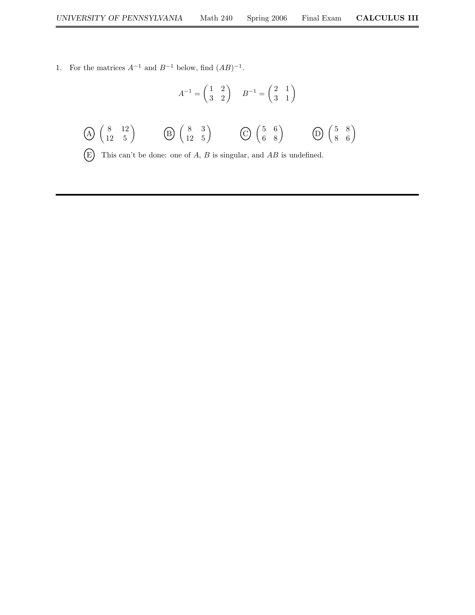1. For the matrices  $A^{-1}$  and  $B^{-1}$  below, find  $(AB)^{-1}$ .

$$
A^{-1} = \begin{pmatrix} 1 & 2 \\ 3 & 2 \end{pmatrix} \quad B^{-1} = \begin{pmatrix} 2 & 1 \\ 3 & 1 \end{pmatrix}
$$
  
\n(A)  $\begin{pmatrix} 8 & 12 \\ 12 & 5 \end{pmatrix}$  (B)  $\begin{pmatrix} 8 & 3 \\ 12 & 5 \end{pmatrix}$  (C)  $\begin{pmatrix} 5 & 6 \\ 6 & 8 \end{pmatrix}$  (D)  $\begin{pmatrix} 5 & 8 \\ 8 & 6 \end{pmatrix}$ 

(E) This can't be done: one of  $A$ ,  $B$  is singular, and  $AB$  is undefined.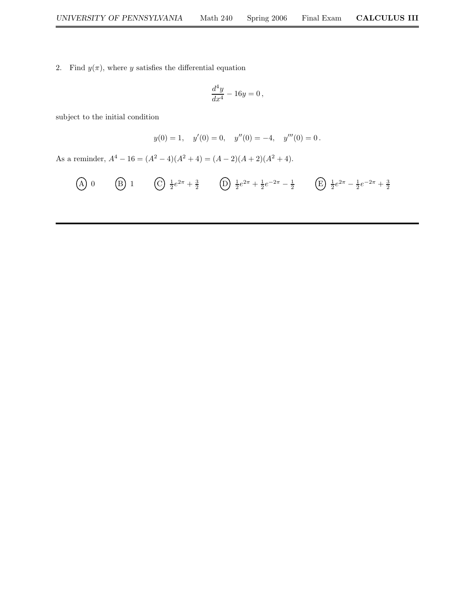2. Find  $y(\pi)$ , where y satisfies the differential equation

$$
\frac{d^4y}{dx^4} - 16y = 0
$$

subject to the initial condition

$$
y(0) = 1
$$
,  $y'(0) = 0$ ,  $y''(0) = -4$ ,  $y'''(0) = 0$ .

As a reminder,  $A^4 - 16 = (A^2 - 4)(A^2 + 4) = (A - 2)(A + 2)(A^2 + 4)$ .

(A) 0 (B) 1 (C) 
$$
\frac{1}{2}e^{2\pi} + \frac{3}{2}
$$
 (D)  $\frac{1}{2}e^{2\pi} + \frac{1}{2}e^{-2\pi} - \frac{1}{2}$  (E)  $\frac{1}{2}e^{2\pi} - \frac{1}{2}e^{-2\pi} + \frac{3}{2}$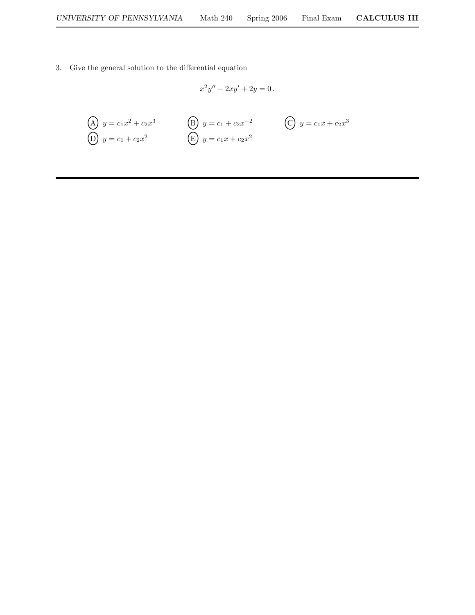3. Give the general solution to the differential equation

$$
x^2y'' - 2xy' + 2y = 0.
$$

(A) 
$$
y = c_1 x^2 + c_2 x^3
$$
  
\n(B)  $y = c_1 + c_2 x^{-2}$   
\n(C)  $y = c_1 x + c_2 x^3$   
\n(D)  $y = c_1 + c_2 x^2$   
\n(E)  $y = c_1 x + c_2 x^2$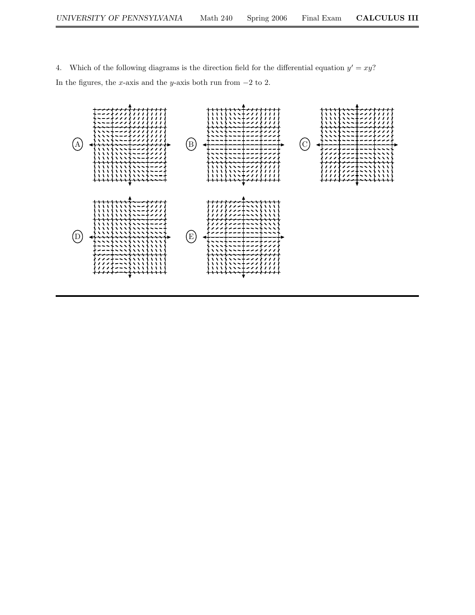4. Which of the following diagrams is the direction field for the differential equation  $y' = xy$ ? In the figures, the x-axis and the y-axis both run from  $-2$  to 2.

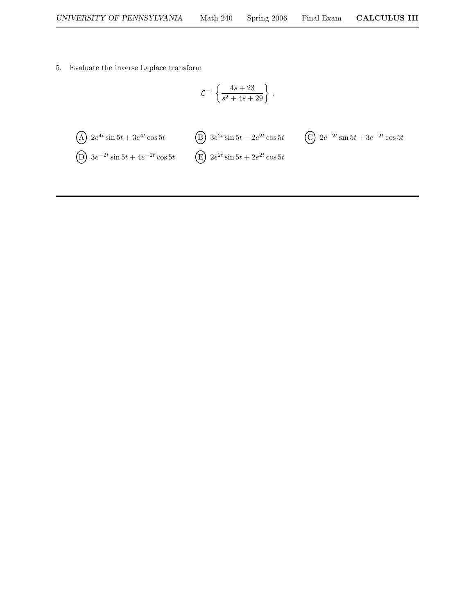5. Evaluate the inverse Laplace transform

$$
\mathcal{L}^{-1} \left\{ \frac{4s+23}{s^2+4s+29} \right\}.
$$
  
\nA)  $2e^{4t} \sin 5t + 3e^{4t} \cos 5t$   
\nB)  $3e^{2t} \sin 5t - 2e^{2t} \cos 5t$   
\nC)  $2e^{-2t} \sin 5t + 3e^{-2t} \cos 5t$   
\nD)  $3e^{-2t} \sin 5t + 4e^{-2t} \cos 5t$   
\nE)  $2e^{2t} \sin 5t + 2e^{2t} \cos 5t$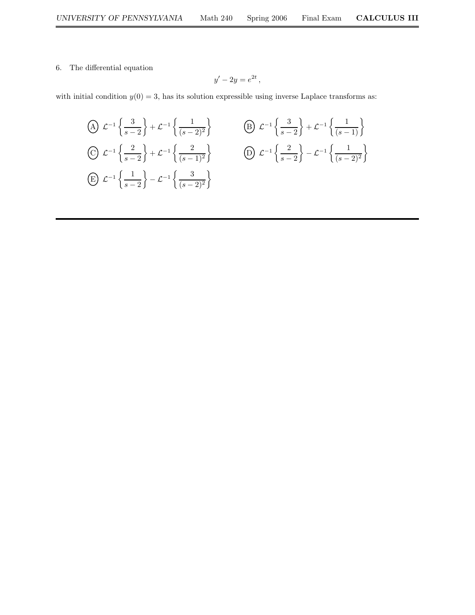## 6. The differential equation

$$
y'-2y=e^{2t}\,,
$$

with initial condition  $y(0) = 3$ , has its solution expressible using inverse Laplace transforms as:

$$
\begin{aligned}\n\text{(A)} \ \mathcal{L}^{-1} \left\{ \frac{3}{s-2} \right\} + \mathcal{L}^{-1} \left\{ \frac{1}{(s-2)^2} \right\} \\
\text{(B)} \ \mathcal{L}^{-1} \left\{ \frac{3}{s-2} \right\} + \mathcal{L}^{-1} \left\{ \frac{1}{(s-1)} \right\} \\
\text{(C)} \ \mathcal{L}^{-1} \left\{ \frac{2}{s-2} \right\} + \mathcal{L}^{-1} \left\{ \frac{2}{(s-1)^2} \right\} \\
\text{(D)} \ \mathcal{L}^{-1} \left\{ \frac{2}{s-2} \right\} - \mathcal{L}^{-1} \left\{ \frac{1}{(s-2)^2} \right\} \\
\text{(E)} \ \mathcal{L}^{-1} \left\{ \frac{1}{s-2} \right\} - \mathcal{L}^{-1} \left\{ \frac{3}{(s-2)^2} \right\}\n\end{aligned}
$$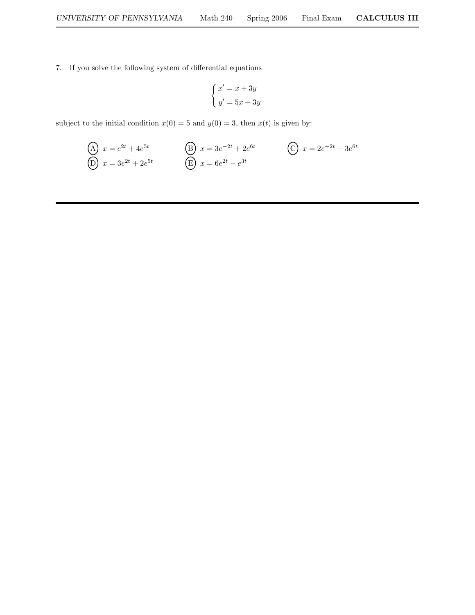7. If you solve the following system of differential equations

$$
\begin{cases}\nx' = x + 3y \\
y' = 5x + 3y\n\end{cases}
$$

subject to the initial condition  $x(0) = 5$  and  $y(0) = 3$ , then  $x(t)$  is given by:

(A) 
$$
x = e^{2t} + 4e^{5t}
$$
  
\n(B)  $x = 3e^{-2t} + 2e^{6t}$   
\n(C)  $x = 2e^{-2t} + 3e^{6t}$   
\n(D)  $x = 3e^{2t} + 2e^{5t}$   
\n(E)  $x = 6e^{2t} - e^{3t}$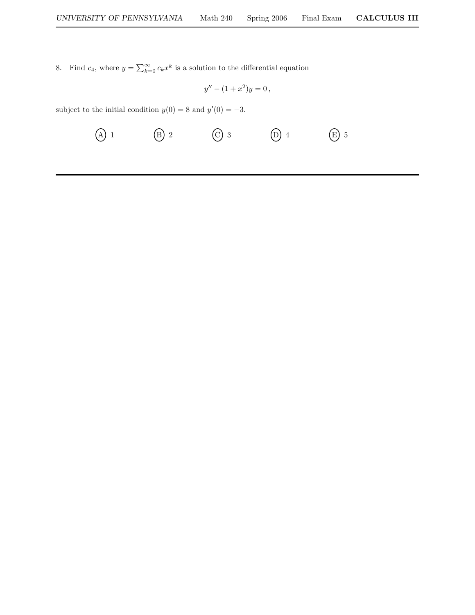8. Find  $c_4$ , where  $y = \sum_{k=0}^{\infty} c_k x^k$  is a solution to the differential equation

$$
y'' - (1 + x^2)y = 0,
$$

subject to the initial condition  $y(0) = 8$  and  $y'(0) = -3$ .

$$
(A) 1 \t (B) 2 \t (C) 3 \t (D) 4 \t (E) 5
$$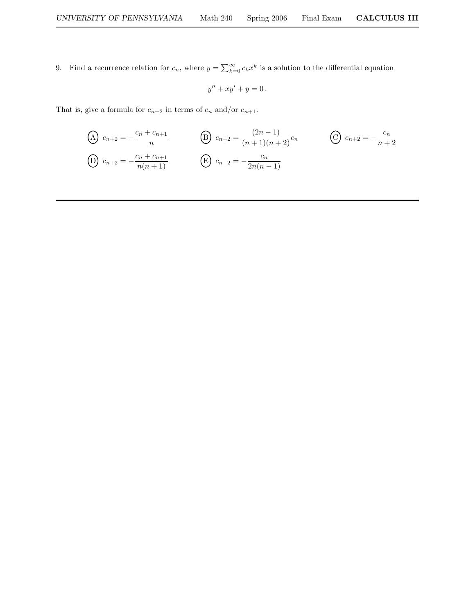9. Find a recurrence relation for  $c_n$ , where  $y = \sum_{k=0}^{\infty} c_k x^k$  is a solution to the differential equation

$$
y'' + xy' + y = 0.
$$

That is, give a formula for  $c_{n+2}$  in terms of  $c_n$  and/or  $c_{n+1}.$ 

(A) 
$$
c_{n+2} = -\frac{c_n + c_{n+1}}{n}
$$
 (B)  $c_{n+2} = \frac{(2n-1)}{(n+1)(n+2)}c_n$  (C)  $c_{n+2} = -\frac{c_n}{n+2}$   
\n(D)  $c_{n+2} = -\frac{c_n + c_{n+1}}{n(n+1)}$  (E)  $c_{n+2} = -\frac{c_n}{2n(n-1)}$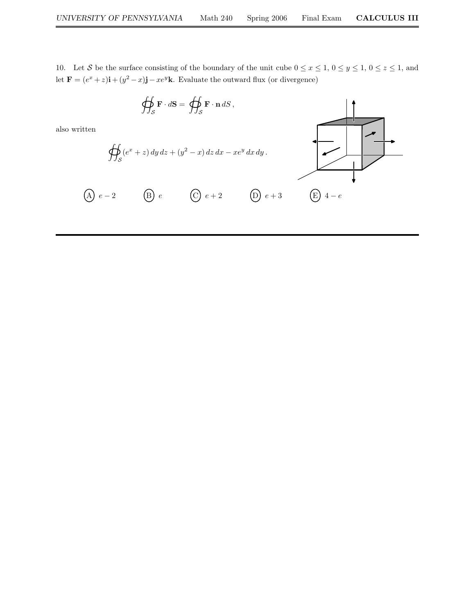10. Let S be the surface consisting of the boundary of the unit cube  $0 \le x \le 1$ ,  $0 \le y \le 1$ ,  $0 \le z \le 1$ , and let  $\mathbf{F} = (e^x + z)\mathbf{i} + (y^2 - x)\mathbf{j} - xe^y\mathbf{k}$ . Evaluate the outward flux (or divergence)

$$
\oint_{\mathcal{S}} \mathbf{F} \cdot d\mathbf{S} = \oint_{\mathcal{S}} \mathbf{F} \cdot \mathbf{n} \, dS \,,
$$

also written

$$
\oiint_{\mathcal{S}} (e^x + z) dy dz + (y^2 - x) dz dx - x e^y dx dy.
$$



$$
\text{(A) } e-2 \qquad \text{(B) } e \qquad \text{(C) } e+2 \qquad \text{(D) } e+3 \qquad \text{(E) } 4-e
$$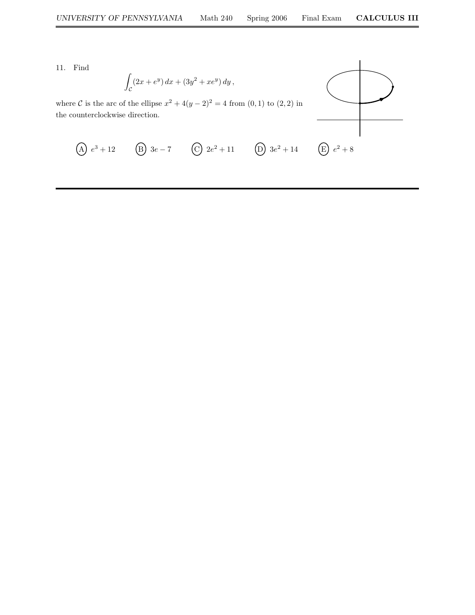11. Find

$$
\int_{\mathcal{C}} (2x + e^y) \, dx + (3y^2 + xe^y) \, dy
$$

where C is the arc of the ellipse  $x^2 + 4(y - 2)^2 = 4$  from  $(0, 1)$  to  $(2, 2)$  in the counterclockwise direction.

(A) 
$$
e^3 + 12
$$
 (B)  $3e - 7$  (C)  $2e^2 + 11$  (D)  $3e^2 + 14$ 

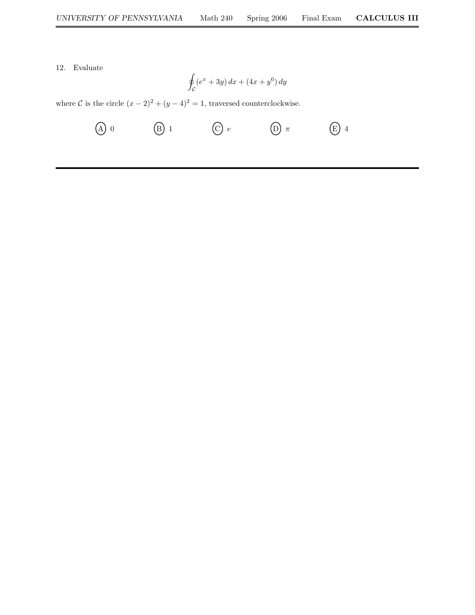12. Evaluate

$$
\oint_{\mathcal{C}} (e^x + 3y) \, dx + (4x + y^6) \, dy
$$

where C is the circle  $(x - 2)^2 + (y - 4)^2 = 1$ , traversed counterclockwise.

$$
(A) 0 \t (B) 1 \t (C) e \t (D) \pi \t (E) 4
$$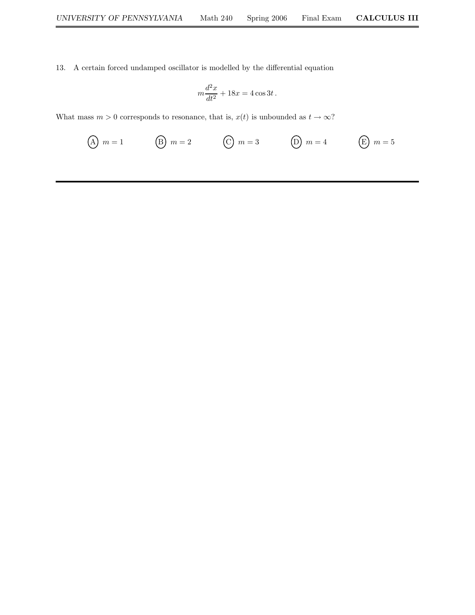13. A certain forced undamped oscillator is modelled by the differential equation

$$
m\frac{d^2x}{dt^2} + 18x = 4\cos 3t.
$$

What mass  $m > 0$  corresponds to resonance, that is,  $x(t)$  is unbounded as  $t \to \infty$ ?

(A) 
$$
m = 1
$$
 (B)  $m = 2$  (C)  $m = 3$  (D)  $m = 4$  (E)  $m = 5$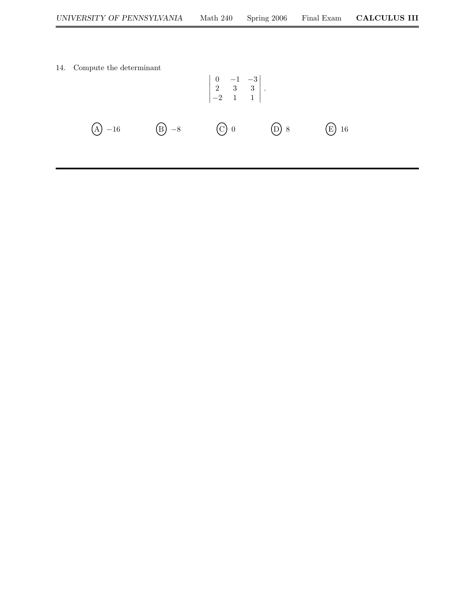14. Compute the determinant

$$
\begin{vmatrix} 0 & -1 & -3 \\ 2 & 3 & 3 \\ -2 & 1 & 1 \end{vmatrix}.
$$
  
(A) -16  
(B) -8  
(C) 0  
(D) 8  
(E) 16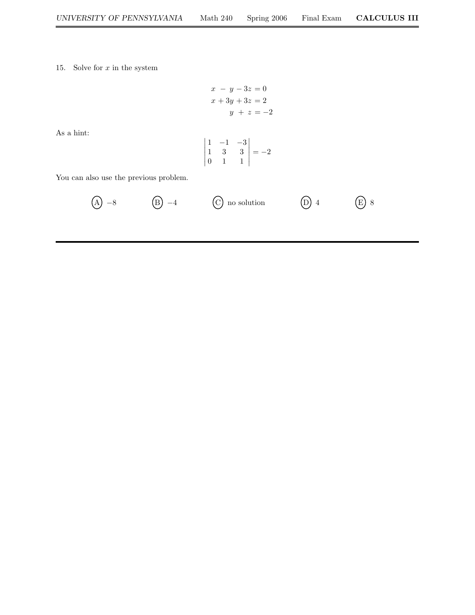15. Solve for  $x$  in the system

$$
x - y - 3z = 0
$$
  

$$
x + 3y + 3z = 2
$$
  

$$
y + z = -2
$$

As a hint:

$$
\begin{vmatrix} 1 & -1 & -3 \\ 1 & 3 & 3 \\ 0 & 1 & 1 \end{vmatrix} = -2
$$

You can also use the previous problem.

$$
\text{(A)} -8 \qquad \text{(B)} -4 \qquad \text{(C)} \text{ no solution} \qquad \text{(D)} 4 \qquad \text{(E)} 8
$$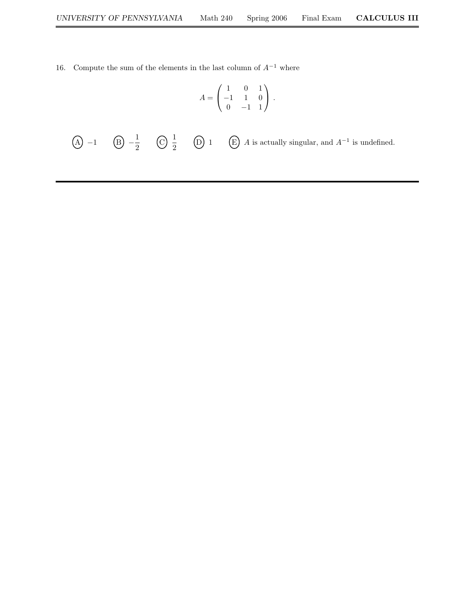16. Compute the sum of the elements in the last column of  $A^{-1}$  where

$$
A = \begin{pmatrix} 1 & 0 & 1 \\ -1 & 1 & 0 \\ 0 & -1 & 1 \end{pmatrix}.
$$

 $\widehat{A}$  -1  $\widehat{B}$  - $\frac{1}{2}$  $\frac{1}{2}$  (c)  $\frac{1}{2}$  $\frac{1}{2}$  (D) 1 (E) *A* is actually singular, and  $A^{-1}$  is undefined.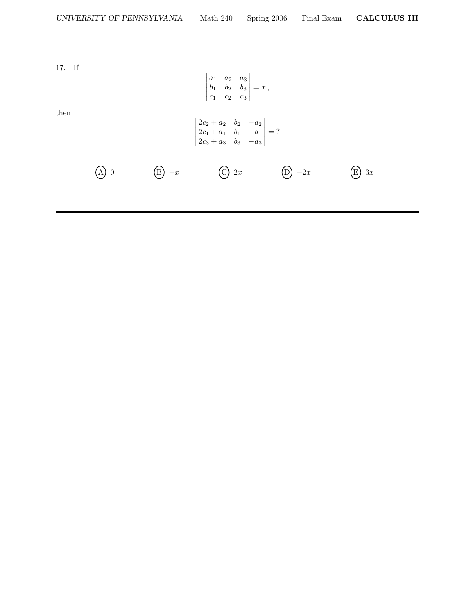17. If

then

 b<sup>1</sup> b<sup>2</sup> b<sup>3</sup> c<sup>1</sup> c<sup>2</sup> c<sup>3</sup>     = x , 2c<sup>2</sup> + a<sup>2</sup> b<sup>2</sup> −a<sup>2</sup> 2c<sup>1</sup> + a<sup>1</sup> b<sup>1</sup> −a<sup>1</sup> 2c<sup>3</sup> + a<sup>3</sup> b<sup>3</sup> −a<sup>3</sup> = ? A 0 B −x C 2x D −2x E 3x

 $a_1$   $a_2$   $a_3$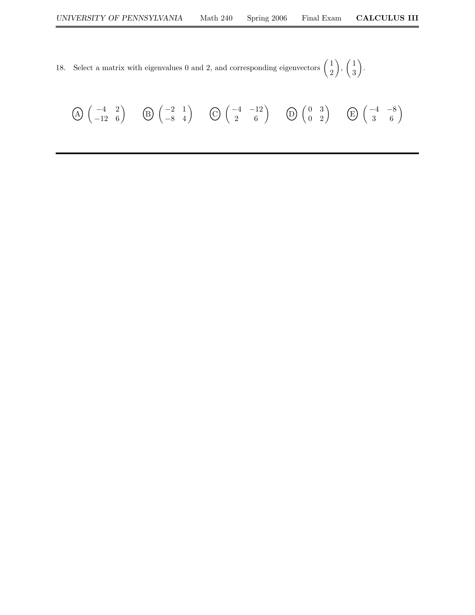18. Select a matrix with eigenvalues 0 and 2, and corresponding eigenvectors  $\begin{pmatrix} 1 \\ 2 \end{pmatrix}$ 2  $\Big\}, \Big\{\frac{1}{2}\Big\}$ 3 .

$$
\textcircled{A} \begin{pmatrix} -4 & 2 \\ -12 & 6 \end{pmatrix} \qquad \textcircled{B} \begin{pmatrix} -2 & 1 \\ -8 & 4 \end{pmatrix} \qquad \textcircled{C} \begin{pmatrix} -4 & -12 \\ 2 & 6 \end{pmatrix} \qquad \textcircled{D} \begin{pmatrix} 0 & 3 \\ 0 & 2 \end{pmatrix} \qquad \textcircled{E} \begin{pmatrix} -4 & -8 \\ 3 & 6 \end{pmatrix}
$$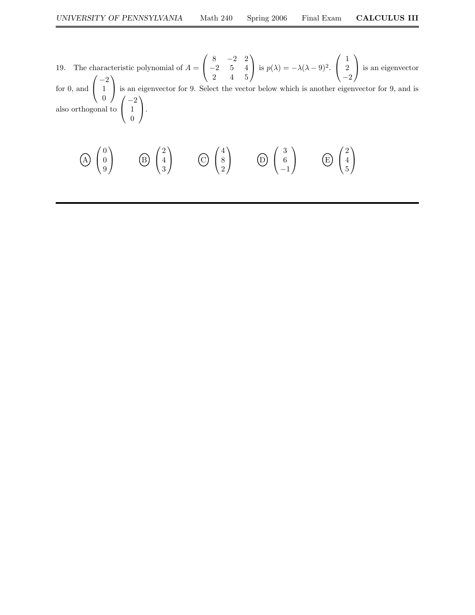19. The characteristic polynomial of  $A =$  $\sqrt{ }$  $\mathcal{L}$  $8 -2 2$  $-2$  5 4 2 4 5  $\setminus$ is  $p(\lambda) = -\lambda(\lambda - 9)^2$ .  $\sqrt{ }$  $\overline{1}$ 1 2  $-2$  $\setminus$  is an eigenvector for 0, and  $\sqrt{ }$  $\mathcal{L}$  $\frac{-2}{2}$ 1 0  $\setminus$  is an eigenvector for 9. Select the vector below which is another eigenvector for 9, and is also orthogonal to  $\sqrt{ }$  $\mathcal{L}$  $\frac{-2}{2}$ 1 0  $\setminus$  $\cdot$ 

$$
\textcircled{A} \begin{pmatrix} 0 \\ 0 \\ 9 \end{pmatrix} \qquad \textcircled{B} \begin{pmatrix} 2 \\ 4 \\ 3 \end{pmatrix} \qquad \textcircled{C} \begin{pmatrix} 4 \\ 8 \\ 2 \end{pmatrix} \qquad \textcircled{D} \begin{pmatrix} 3 \\ 6 \\ -1 \end{pmatrix} \qquad \textcircled{E} \begin{pmatrix} 2 \\ 4 \\ 5 \end{pmatrix}
$$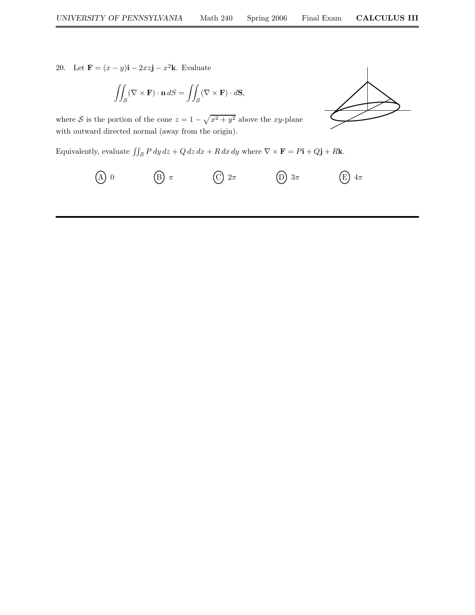20. Let  $\mathbf{F} = (x - y)\mathbf{i} - 2xz\mathbf{j} - x^2\mathbf{k}$ . Evaluate

$$
\iint_{\mathcal{S}} (\nabla \times \mathbf{F}) \cdot \mathbf{n} \, dS = \iint_{\mathcal{S}} (\nabla \times \mathbf{F}) \cdot d\mathbf{S},
$$

where S is the portion of the cone  $z = 1 - \sqrt{x^2 + y^2}$  above the xy-plane with outward directed normal (away from the origin).

Equivalently, evaluate  $\iint_{\mathcal{S}} P dy dz + Q dz dx + R dx dy$  where  $\nabla \times \mathbf{F} = P\mathbf{i} + Q\mathbf{j} + R\mathbf{k}$ .

$$
(A) 0 \t\t (B) \pi \t\t (C) 2\pi \t\t (D) 3\pi \t\t (E) 4\pi
$$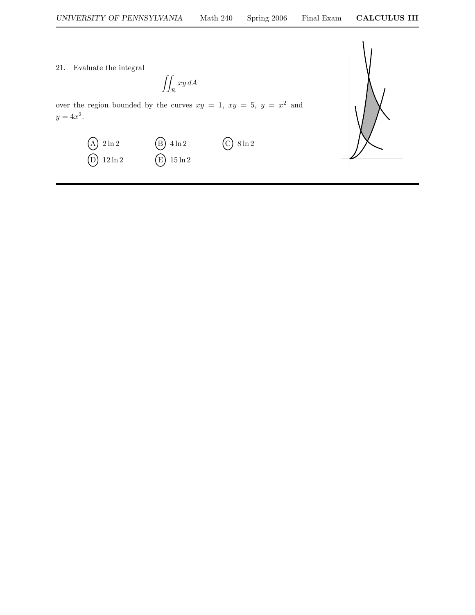$$
\iint_{\mathcal{R}} xy \, dA
$$

over the region bounded by the curves  $xy = 1$ ,  $xy = 5$ ,  $y = x^2$  and  $y = 4x^2$ .